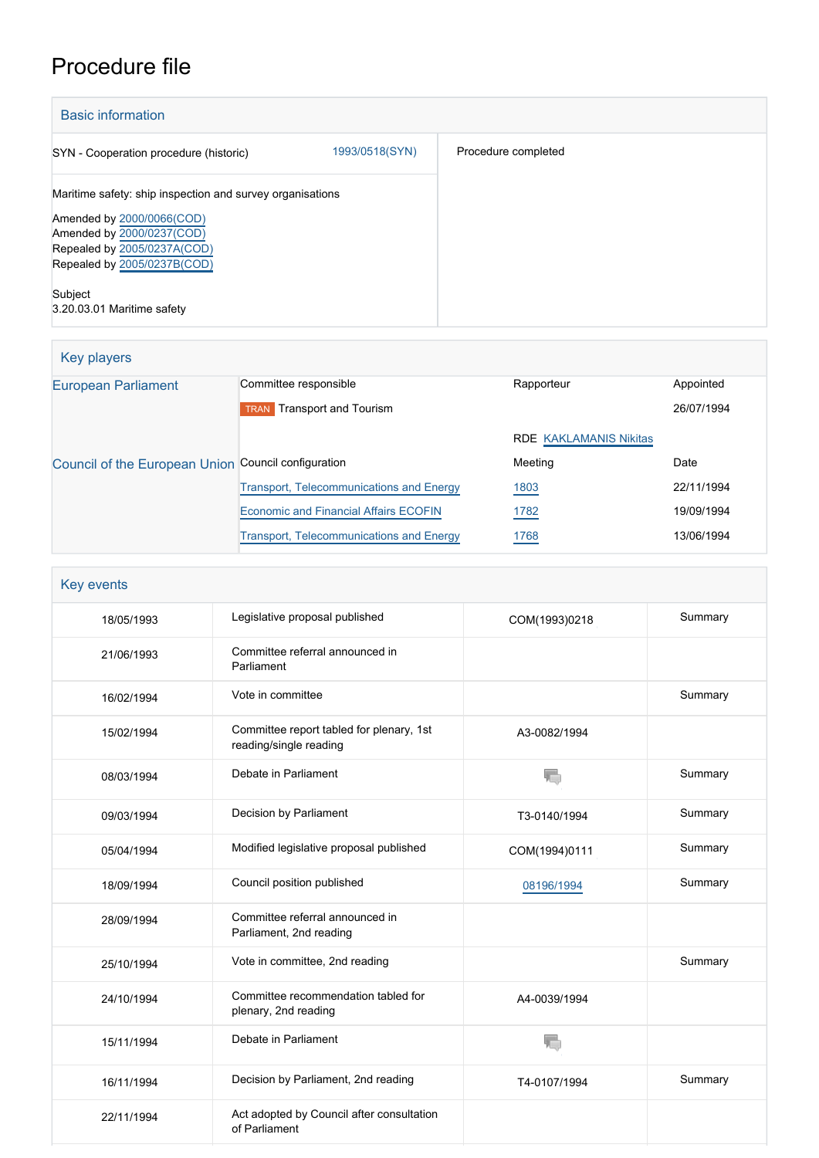# Procedure file

| <b>Basic information</b>                                   |                |                     |
|------------------------------------------------------------|----------------|---------------------|
| SYN - Cooperation procedure (historic)                     | 1993/0518(SYN) | Procedure completed |
| Maritime safety: ship inspection and survey organisations  |                |                     |
| Amended by 2000/0066(COD)                                  |                |                     |
| Amended by 2000/0237(COD)                                  |                |                     |
| Repealed by 2005/0237A(COD)<br>Repealed by 2005/0237B(COD) |                |                     |
|                                                            |                |                     |
| Subject                                                    |                |                     |
| 3.20.03.01 Maritime safety                                 |                |                     |

| Key players                                         |                                                 |                               |            |
|-----------------------------------------------------|-------------------------------------------------|-------------------------------|------------|
| <b>European Parliament</b>                          | Committee responsible                           | Rapporteur                    | Appointed  |
|                                                     | Transport and Tourism<br><b>TRAN</b>            |                               | 26/07/1994 |
|                                                     |                                                 | <b>RDE KAKLAMANIS Nikitas</b> |            |
| Council of the European Union Council configuration |                                                 | Meeting                       | Date       |
|                                                     | <b>Transport, Telecommunications and Energy</b> | 1803                          | 22/11/1994 |
|                                                     | <b>Economic and Financial Affairs ECOFIN</b>    | 1782                          | 19/09/1994 |
|                                                     | <b>Transport, Telecommunications and Energy</b> | 1768                          | 13/06/1994 |

| Key events |                                                                    |               |         |
|------------|--------------------------------------------------------------------|---------------|---------|
| 18/05/1993 | Legislative proposal published                                     | COM(1993)0218 | Summary |
| 21/06/1993 | Committee referral announced in<br>Parliament                      |               |         |
| 16/02/1994 | Vote in committee                                                  |               | Summary |
| 15/02/1994 | Committee report tabled for plenary, 1st<br>reading/single reading | A3-0082/1994  |         |
| 08/03/1994 | Debate in Parliament                                               | T.            | Summary |
| 09/03/1994 | Decision by Parliament                                             | T3-0140/1994  | Summary |
| 05/04/1994 | Modified legislative proposal published                            | COM(1994)0111 | Summary |
| 18/09/1994 | Council position published                                         | 08196/1994    | Summary |
| 28/09/1994 | Committee referral announced in<br>Parliament, 2nd reading         |               |         |
| 25/10/1994 | Vote in committee, 2nd reading                                     |               | Summary |
| 24/10/1994 | Committee recommendation tabled for<br>plenary, 2nd reading        | A4-0039/1994  |         |
| 15/11/1994 | Debate in Parliament                                               |               |         |
| 16/11/1994 | Decision by Parliament, 2nd reading                                | T4-0107/1994  | Summary |
| 22/11/1994 | Act adopted by Council after consultation<br>of Parliament         |               |         |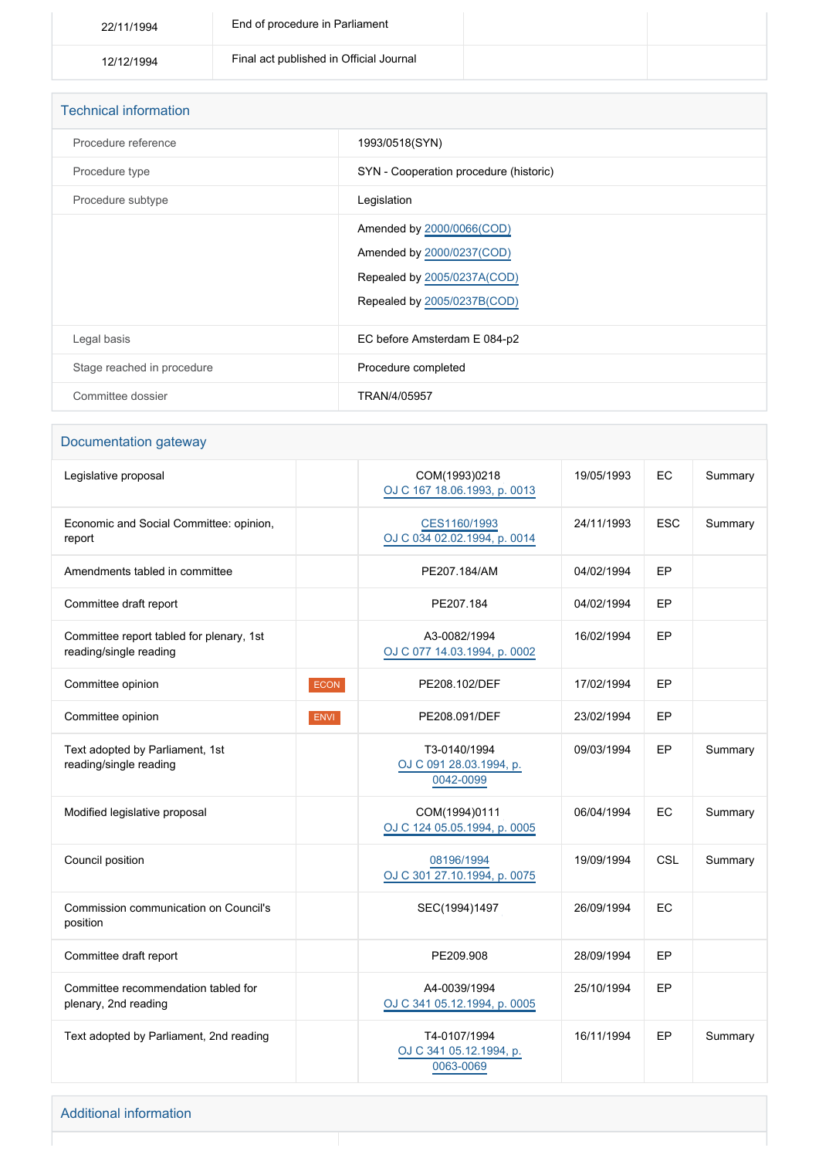| 22/11/1994 | End of procedure in Parliament          |  |
|------------|-----------------------------------------|--|
| 12/12/1994 | Final act published in Official Journal |  |

| <b>Technical information</b> |                                        |  |
|------------------------------|----------------------------------------|--|
| Procedure reference          | 1993/0518(SYN)                         |  |
| Procedure type               | SYN - Cooperation procedure (historic) |  |
| Procedure subtype            | Legislation                            |  |
|                              | Amended by 2000/0066(COD)              |  |
|                              | Amended by 2000/0237(COD)              |  |
|                              | Repealed by 2005/0237A(COD)            |  |
|                              | Repealed by 2005/0237B(COD)            |  |
| Legal basis                  | EC before Amsterdam E 084-p2           |  |
| Stage reached in procedure   | Procedure completed                    |  |
| Committee dossier            | TRAN/4/05957                           |  |

# Documentation gateway

| Legislative proposal                                               |             | COM(1993)0218<br>OJ C 167 18.06.1993, p. 0013        | 19/05/1993 | EC         | Summary |
|--------------------------------------------------------------------|-------------|------------------------------------------------------|------------|------------|---------|
| Economic and Social Committee: opinion,<br>report                  |             | CES1160/1993<br>OJ C 034 02.02.1994, p. 0014         | 24/11/1993 | <b>ESC</b> | Summary |
| Amendments tabled in committee                                     |             | PE207.184/AM                                         | 04/02/1994 | EP         |         |
| Committee draft report                                             |             | PE207.184                                            | 04/02/1994 | <b>EP</b>  |         |
| Committee report tabled for plenary, 1st<br>reading/single reading |             | A3-0082/1994<br>OJ C 077 14.03.1994, p. 0002         | 16/02/1994 | EP         |         |
| Committee opinion                                                  | <b>ECON</b> | PE208.102/DEF                                        | 17/02/1994 | EP         |         |
| Committee opinion                                                  | <b>ENVI</b> | PE208.091/DEF                                        | 23/02/1994 | <b>EP</b>  |         |
| Text adopted by Parliament, 1st<br>reading/single reading          |             | T3-0140/1994<br>OJ C 091 28.03.1994, p.<br>0042-0099 | 09/03/1994 | EP         | Summary |
| Modified legislative proposal                                      |             | COM(1994)0111<br>OJ C 124 05.05.1994, p. 0005        | 06/04/1994 | <b>EC</b>  | Summary |
| Council position                                                   |             | 08196/1994<br>OJ C 301 27.10.1994, p. 0075           | 19/09/1994 | <b>CSL</b> | Summary |
| Commission communication on Council's<br>position                  |             | SEC(1994)1497                                        | 26/09/1994 | EC         |         |
| Committee draft report                                             |             | PE209.908                                            | 28/09/1994 | EP         |         |
| Committee recommendation tabled for<br>plenary, 2nd reading        |             | A4-0039/1994<br>OJ C 341 05.12.1994, p. 0005         | 25/10/1994 | EP         |         |
| Text adopted by Parliament, 2nd reading                            |             | T4-0107/1994<br>OJ C 341 05.12.1994, p.<br>0063-0069 | 16/11/1994 | EP         | Summary |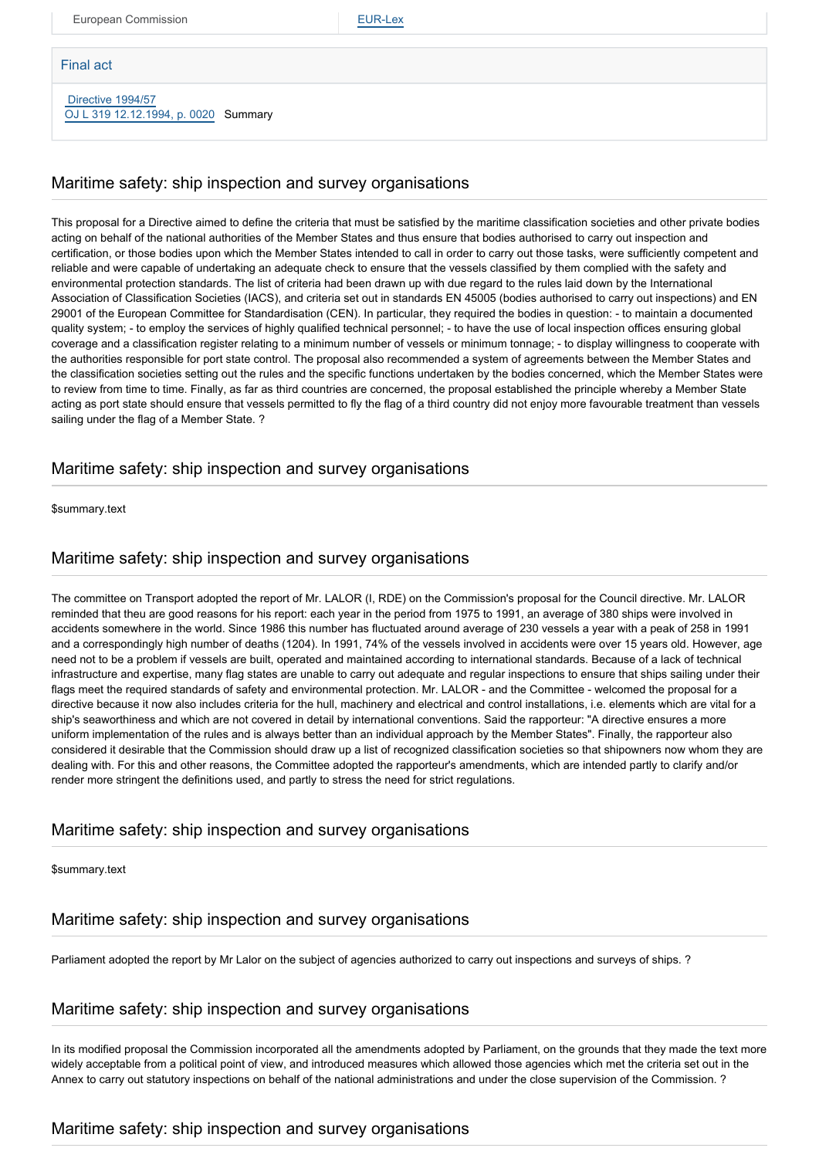European Commission **[EUR-Lex](http://ec.europa.eu/prelex/liste_resultats.cfm?CL=en&ReqId=0&DocType=SYN&DocYear=1993&DocNum=0518)** 

#### Final act

 [Directive 1994/57](https://eur-lex.europa.eu/smartapi/cgi/sga_doc?smartapi!celexplus!prod!CELEXnumdoc&lg=EN&numdoc=31994L0057) [OJ L 319 12.12.1994, p. 0020](https://eur-lex.europa.eu/legal-content/EN/TXT/?uri=OJ:L:1994:319:TOC) Summary

#### Maritime safety: ship inspection and survey organisations

This proposal for a Directive aimed to define the criteria that must be satisfied by the maritime classification societies and other private bodies acting on behalf of the national authorities of the Member States and thus ensure that bodies authorised to carry out inspection and certification, or those bodies upon which the Member States intended to call in order to carry out those tasks, were sufficiently competent and reliable and were capable of undertaking an adequate check to ensure that the vessels classified by them complied with the safety and environmental protection standards. The list of criteria had been drawn up with due regard to the rules laid down by the International Association of Classification Societies (IACS), and criteria set out in standards EN 45005 (bodies authorised to carry out inspections) and EN 29001 of the European Committee for Standardisation (CEN). In particular, they required the bodies in question: - to maintain a documented quality system; - to employ the services of highly qualified technical personnel; - to have the use of local inspection offices ensuring global coverage and a classification register relating to a minimum number of vessels or minimum tonnage; - to display willingness to cooperate with the authorities responsible for port state control. The proposal also recommended a system of agreements between the Member States and the classification societies setting out the rules and the specific functions undertaken by the bodies concerned, which the Member States were to review from time to time. Finally, as far as third countries are concerned, the proposal established the principle whereby a Member State acting as port state should ensure that vessels permitted to fly the flag of a third country did not enjoy more favourable treatment than vessels sailing under the flag of a Member State. ?

### Maritime safety: ship inspection and survey organisations

\$summary.text

### Maritime safety: ship inspection and survey organisations

The committee on Transport adopted the report of Mr. LALOR (I, RDE) on the Commission's proposal for the Council directive. Mr. LALOR reminded that theu are good reasons for his report: each year in the period from 1975 to 1991, an average of 380 ships were involved in accidents somewhere in the world. Since 1986 this number has fluctuated around average of 230 vessels a year with a peak of 258 in 1991 and a correspondingly high number of deaths (1204). In 1991, 74% of the vessels involved in accidents were over 15 years old. However, age need not to be a problem if vessels are built, operated and maintained according to international standards. Because of a lack of technical infrastructure and expertise, many flag states are unable to carry out adequate and regular inspections to ensure that ships sailing under their flags meet the required standards of safety and environmental protection. Mr. LALOR - and the Committee - welcomed the proposal for a directive because it now also includes criteria for the hull, machinery and electrical and control installations, i.e. elements which are vital for a ship's seaworthiness and which are not covered in detail by international conventions. Said the rapporteur: "A directive ensures a more uniform implementation of the rules and is always better than an individual approach by the Member States". Finally, the rapporteur also considered it desirable that the Commission should draw up a list of recognized classification societies so that shipowners now whom they are dealing with. For this and other reasons, the Committee adopted the rapporteur's amendments, which are intended partly to clarify and/or render more stringent the definitions used, and partly to stress the need for strict regulations.

# Maritime safety: ship inspection and survey organisations

\$summary.text

#### Maritime safety: ship inspection and survey organisations

Parliament adopted the report by Mr Lalor on the subject of agencies authorized to carry out inspections and surveys of ships. ?

#### Maritime safety: ship inspection and survey organisations

In its modified proposal the Commission incorporated all the amendments adopted by Parliament, on the grounds that they made the text more widely acceptable from a political point of view, and introduced measures which allowed those agencies which met the criteria set out in the Annex to carry out statutory inspections on behalf of the national administrations and under the close supervision of the Commission. ?

# Maritime safety: ship inspection and survey organisations